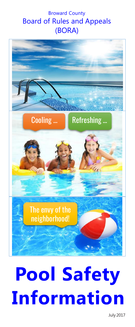# Broward County Board of Rules and Appeals (BORA)



# **Pool Safety Information**

July 2017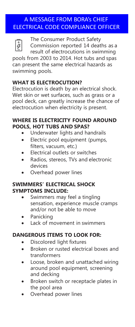# A MESSAGE FROM BORA's CHIEF ELECTRICAL CODE COMPLIANCE OFFICER



The Consumer Product Safety Commission reported 14 deaths as a result of electrocutions in swimming

pools from 2003 to 2014. Hot tubs and spas can present the same electrical hazards as swimming pools.

# **WHAT IS ELECTROCUTION?**

Electrocution is death by an electrical shock. Wet skin or wet surfaces, such as grass or a pool deck, can greatly increase the chance of electrocution when electricity is present.

## **WHERE IS ELECTRICITY FOUND AROUND POOLS, HOT TUBS AND SPAS?**

- Underwater lights and handrails
- Electric pool equipment (pumps, filters, vacuum, etc.)
- Electrical outlets or switches
- Radios, stereos, TVs and electronic devices
- Overhead power lines

## **SWIMMERS' ELECTRICAL SHOCK SYMPTOMS INCLUDE:**

- Swimmers may feel a tingling sensation, experience muscle cramps and/or not be able to move
- **Panicking**
- Lack of movement in swimmers

# **DANGEROUS ITEMS TO LOOK FOR:**

- Discolored light fixtures
- Broken or rusted electrical boxes and transformers
- Loose, broken and unattached wiring around pool equipment, screening and decking
- Broken switch or receptacle plates in the pool area
- Overhead power lines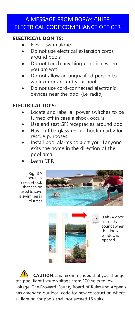# A MESSAGE FROM BORA's CHIEF ELECTRICAL CODE COMPLIANCE OFFICER

#### **ELECTRICAL DON'TS:**

- Never swim alone
- Do not use electrical extension cords around pools
- Do not touch anything electrical when you are wet
- Do not allow an unqualified person to work on or around your pool
- Do not use cord-connected electronic devices near the pool (i.e. radio)

#### **ELECTRICAL DO'S:**

- Locate and label all power switches to be turned off in case a shock occurs
- Use and test GFI receptacles around pool
- Have a fiberglass rescue hook nearby for rescue purposes
- Install pool alarms to alert you if anyone exits the home in the direction of the pool area
- Learn CPR

(Right)A fiberglass rescuehook that can be used to save a swimmerin distress





(Left) A door alarm that soundswhen the door/ window is opened

**CAUTION**: It is recommended that you change the pool light fixture voltage from 120 volts to low voltage. The Broward County Board of Rules and Appeals has amended our local code for new construction where all lighting for pools shall not exceed 15 volts.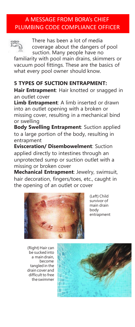# A MESSAGE FROM BORA's CHIEF PLUMBING CODE COMPLIANCE OFFICER



There has been a lot of media coverage about the dangers of pool suction. Many people have no

familiarity with pool main drains, skimmers or vacuum pool fittings. These are the basics of what every pool owner should know.

# **5 TYPES OF SUCTION ENTRAPMENT:**

**Hair Entrapment**: Hair knotted or snagged in an outlet cover

**Limb Entrapment**: A limb inserted or drawn into an outlet opening with a broken or missing cover, resulting in a mechanical bind or swelling

**Body Swelling Entrapment**: Suction applied to a large portion of the body, resulting in entrapment

**Evisceration/ Disembowelment**: Suction applied directly to intestines through an unprotected sump or suction outlet with a missing or broken cover

**Mechanical Entrapment**: Jewelry, swimsuit, hair decoration, fingers/toes, etc., caught in the opening of an outlet or cover



(Left) Child survivor of main drain body entrapment

(Right) Hair can be sucked into a main drain, become tangledin the drain cover and difficult to free theswimmer

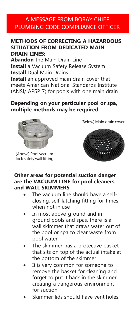# A MESSAGE FROM BORA's CHIEF PLUMBING CODE COMPLIANCE OFFICER

#### **METHODS OF CORRECTING A HAZARDOUS SITUATION FROM DEDICATED MAIN DRAIN LINES:**

**Abandon** the Main Drain Line **Install** a Vacuum Safety Release System **Install** Dual Main Drains

**Install** an approved main drain cover that meets American National Standards Institute (ANSI/ APSP 7) for pools with one main drain

## **Depending on your particular pool or spa, multiple methods may be required.**



(Above) Pool vacuum lock safety wall fitting

(Below) Main drain cover



#### **Other areas for potential suction danger are the VACUUM LINE for pool cleaners and WALL SKIMMERS**

- The vacuum line should have a selfclosing, self-latching fitting for times when not in use
- In most above-ground and inground pools and spas, there is a wall skimmer that draws water out of the pool or spa to clear waste from pool water
- The skimmer has a protective basket that sits on top of the actual intake at the bottom of the skimmer
- It is very common for someone to remove the basket for cleaning and forget to put it back in the skimmer, creating a dangerous environment for suction
- Skimmer lids should have vent holes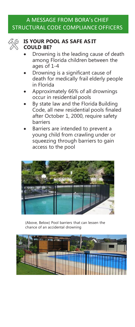# A MESSAGE FROM BORA's CHIEF STRUCTURAL CODE COMPLIANCE OFFICERS



#### **IS YOUR POOL AS SAFE AS IT COULD BE?**

- Drowning is the leading cause of death among Florida children between the ages of 1-4
- Drowning is a significant cause of death for medically frail elderly people in Florida
- Approximately 66% of all drownings occur in residential pools
- By state law and the Florida Building Code, all new residential pools finaled after October 1, 2000, require safety barriers
- Barriers are intended to prevent a young child from crawling under or squeezing through barriers to gain access to the pool



(Above, Below) Pool barriers that can lessen the chance of an accidental drowning

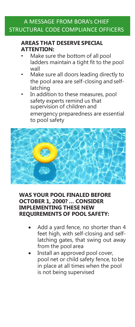# A MESSAGE FROM BORA's CHIEF STRUCTURAL CODE COMPLIANCE OFFICERS

## **AREAS THAT DESERVE SPECIAL ATTENTION:**

- Make sure the bottom of all pool ladders maintain a tight fit to the pool wall
- Make sure all doors leading directly to the pool area are self-closing and selflatching
- In addition to these measures, pool safety experts remind us that supervision of children and

emergency preparedness are essential to pool safety



### **WAS YOUR POOL FINALED BEFORE OCTOBER 1, 2000? … CONSIDER IMPLEMENTING THESE NEW REQUIREMENTS OF POOL SAFETY:**

- Add a yard fence, no shorter than 4 feet high, with self-closing and selflatching gates, that swing out away from the pool area
- Install an approved pool cover, pool net or child safety fence, to be in place at all times when the pool is not being supervised